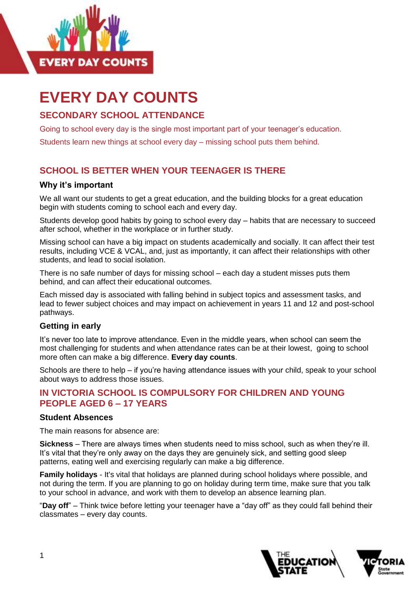

# **EVERY DAY COUNTS**

# **SECONDARY SCHOOL ATTENDANCE**

Going to school every day is the single most important part of your teenager's education.

Students learn new things at school every day – missing school puts them behind.

## **SCHOOL IS BETTER WHEN YOUR TEENAGER IS THERE**

#### **Why it's important**

We all want our students to get a great education, and the building blocks for a great education begin with students coming to school each and every day.

Students develop good habits by going to school every day – habits that are necessary to succeed after school, whether in the workplace or in further study.

Missing school can have a big impact on students academically and socially. It can affect their test results, including VCE & VCAL, and, just as importantly, it can affect their relationships with other students, and lead to social isolation.

There is no safe number of days for missing school – each day a student misses puts them behind, and can affect their educational outcomes.

Each missed day is associated with falling behind in subject topics and assessment tasks, and lead to fewer subject choices and may impact on achievement in years 11 and 12 and post-school pathways.

#### **Getting in early**

It's never too late to improve attendance. Even in the middle years, when school can seem the most challenging for students and when attendance rates can be at their lowest, going to school more often can make a big difference. **Every day counts**.

Schools are there to help – if you're having attendance issues with your child, speak to your school about ways to address those issues.

## **IN VICTORIA SCHOOL IS COMPULSORY FOR CHILDREN AND YOUNG PEOPLE AGED 6 – 17 YEARS**

#### **Student Absences**

The main reasons for absence are:

**Sickness** – There are always times when students need to miss school, such as when they're ill. It's vital that they're only away on the days they are genuinely sick, and setting good sleep patterns, eating well and exercising regularly can make a big difference.

**Family holidays** - It's vital that holidays are planned during school holidays where possible, and not during the term. If you are planning to go on holiday during term time, make sure that you talk to your school in advance, and work with them to develop an absence learning plan.

"**Day off**" – Think twice before letting your teenager have a "day off" as they could fall behind their classmates – every day counts.

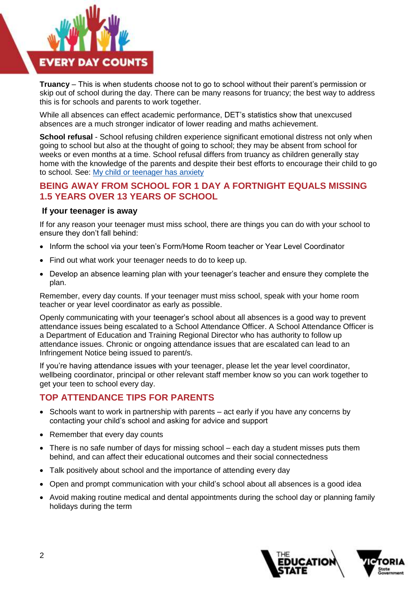

**Truancy** – This is when students choose not to go to school without their parent's permission or skip out of school during the day. There can be many reasons for truancy; the best way to address this is for schools and parents to work together.

While all absences can effect academic performance, DET's statistics show that unexcused absences are a much stronger indicator of lower reading and maths achievement.

**School refusal** - School refusing children experience significant emotional distress not only when going to school but also at the thought of going to school; they may be absent from school for weeks or even months at a time. School refusal differs from truancy as children generally stay home with the knowledge of the parents and despite their best efforts to encourage their child to go to school. See: [My child or teenager has anxiety](https://edugate.eduweb.vic.gov.au/collaboration/cdteam/projectdocs/Attendance%202017/Attendance%20-%20final%20web/Parent%20factsheets/My%20child%20or%20teenager%20has%20anxiety.docx)

## **BEING AWAY FROM SCHOOL FOR 1 DAY A FORTNIGHT EQUALS MISSING 1.5 YEARS OVER 13 YEARS OF SCHOOL**

#### **If your teenager is away**

If for any reason your teenager must miss school, there are things you can do with your school to ensure they don't fall behind:

- Inform the school via your teen's Form/Home Room teacher or Year Level Coordinator
- Find out what work your teenager needs to do to keep up.
- Develop an absence learning plan with your teenager's teacher and ensure they complete the plan.

Remember, every day counts. If your teenager must miss school, speak with your home room teacher or year level coordinator as early as possible.

Openly communicating with your teenager's school about all absences is a good way to prevent attendance issues being escalated to a School Attendance Officer. A School Attendance Officer is a Department of Education and Training Regional Director who has authority to follow up attendance issues. Chronic or ongoing attendance issues that are escalated can lead to an Infringement Notice being issued to parent/s.

If you're having attendance issues with your teenager, please let the year level coordinator, wellbeing coordinator, principal or other relevant staff member know so you can work together to get your teen to school every day.

### **TOP ATTENDANCE TIPS FOR PARENTS**

- Schools want to work in partnership with parents act early if you have any concerns by contacting your child's school and asking for advice and support
- Remember that every day counts
- There is no safe number of days for missing school each day a student misses puts them behind, and can affect their educational outcomes and their social connectedness
- Talk positively about school and the importance of attending every day
- Open and prompt communication with your child's school about all absences is a good idea
- Avoid making routine medical and dental appointments during the school day or planning family holidays during the term